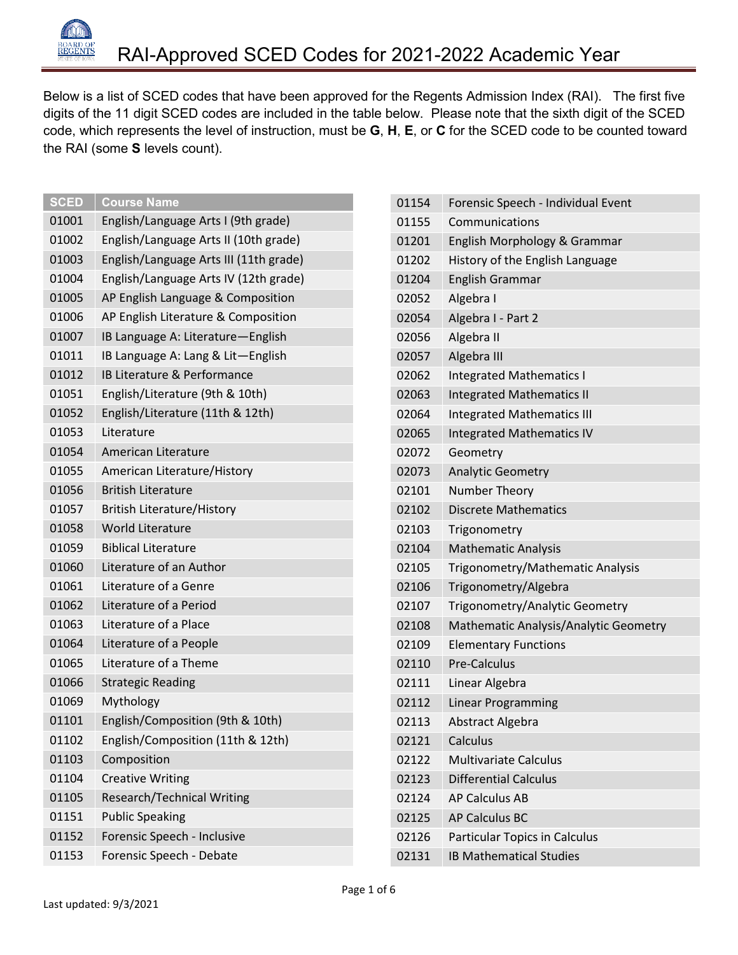

Below is a list of SCED codes that have been approved for the Regents Admission Index (RAI). The first five digits of the 11 digit SCED codes are included in the table below. Please note that the sixth digit of the SCED code, which represents the level of instruction, must be **G**, **H**, **E**, or **C** for the SCED code to be counted toward the RAI (some **S** levels count).

| <b>SCED</b> | <b>Course Name</b>                     | 01154 |
|-------------|----------------------------------------|-------|
| 01001       | English/Language Arts I (9th grade)    | 01155 |
| 01002       | English/Language Arts II (10th grade)  | 01201 |
| 01003       | English/Language Arts III (11th grade) | 01202 |
| 01004       | English/Language Arts IV (12th grade)  | 01204 |
| 01005       | AP English Language & Composition      | 02052 |
| 01006       | AP English Literature & Composition    | 02054 |
| 01007       | IB Language A: Literature-English      | 02056 |
| 01011       | IB Language A: Lang & Lit-English      | 02057 |
| 01012       | IB Literature & Performance            | 02062 |
| 01051       | English/Literature (9th & 10th)        | 02063 |
| 01052       | English/Literature (11th & 12th)       | 02064 |
| 01053       | Literature                             | 02065 |
| 01054       | American Literature                    | 02072 |
| 01055       | American Literature/History            | 02073 |
| 01056       | <b>British Literature</b>              | 02101 |
| 01057       | <b>British Literature/History</b>      | 02102 |
| 01058       | <b>World Literature</b>                | 02103 |
| 01059       | <b>Biblical Literature</b>             | 02104 |
| 01060       | Literature of an Author                | 02105 |
| 01061       | Literature of a Genre                  | 02106 |
| 01062       | Literature of a Period                 | 02107 |
| 01063       | Literature of a Place                  | 02108 |
| 01064       | Literature of a People                 | 02109 |
| 01065       | Literature of a Theme                  | 02110 |
| 01066       | <b>Strategic Reading</b>               | 02111 |
| 01069       | Mythology                              | 02112 |
| 01101       | English/Composition (9th & 10th)       | 02113 |
| 01102       | English/Composition (11th & 12th)      | 02121 |
| 01103       | Composition                            | 02122 |
| 01104       | <b>Creative Writing</b>                | 02123 |
| 01105       | <b>Research/Technical Writing</b>      | 02124 |
| 01151       | <b>Public Speaking</b>                 | 02125 |
| 01152       | Forensic Speech - Inclusive            | 02126 |
| 01153       | Forensic Speech - Debate               | 02131 |
|             |                                        |       |

| 01154 | Forensic Speech - Individual Event    |
|-------|---------------------------------------|
| 01155 | Communications                        |
| 01201 | English Morphology & Grammar          |
| 01202 | History of the English Language       |
| 01204 | <b>English Grammar</b>                |
| 02052 | Algebra I                             |
| 02054 | Algebra I - Part 2                    |
| 02056 | Algebra II                            |
| 02057 | Algebra III                           |
| 02062 | <b>Integrated Mathematics I</b>       |
| 02063 | <b>Integrated Mathematics II</b>      |
| 02064 | <b>Integrated Mathematics III</b>     |
| 02065 | <b>Integrated Mathematics IV</b>      |
| 02072 | Geometry                              |
| 02073 | <b>Analytic Geometry</b>              |
| 02101 | Number Theory                         |
| 02102 | <b>Discrete Mathematics</b>           |
| 02103 | Trigonometry                          |
| 02104 | <b>Mathematic Analysis</b>            |
| 02105 | Trigonometry/Mathematic Analysis      |
| 02106 | Trigonometry/Algebra                  |
| 02107 | Trigonometry/Analytic Geometry        |
| 02108 | Mathematic Analysis/Analytic Geometry |
| 02109 | <b>Elementary Functions</b>           |
| 02110 | <b>Pre-Calculus</b>                   |
| 02111 | Linear Algebra                        |
| 02112 | Linear Programming                    |
| 02113 | Abstract Algebra                      |
| 02121 | Calculus                              |
| 02122 | <b>Multivariate Calculus</b>          |
| 02123 | <b>Differential Calculus</b>          |
| 02124 | <b>AP Calculus AB</b>                 |
| 02125 | <b>AP Calculus BC</b>                 |
| 02126 | <b>Particular Topics in Calculus</b>  |
| 02131 | <b>IB Mathematical Studies</b>        |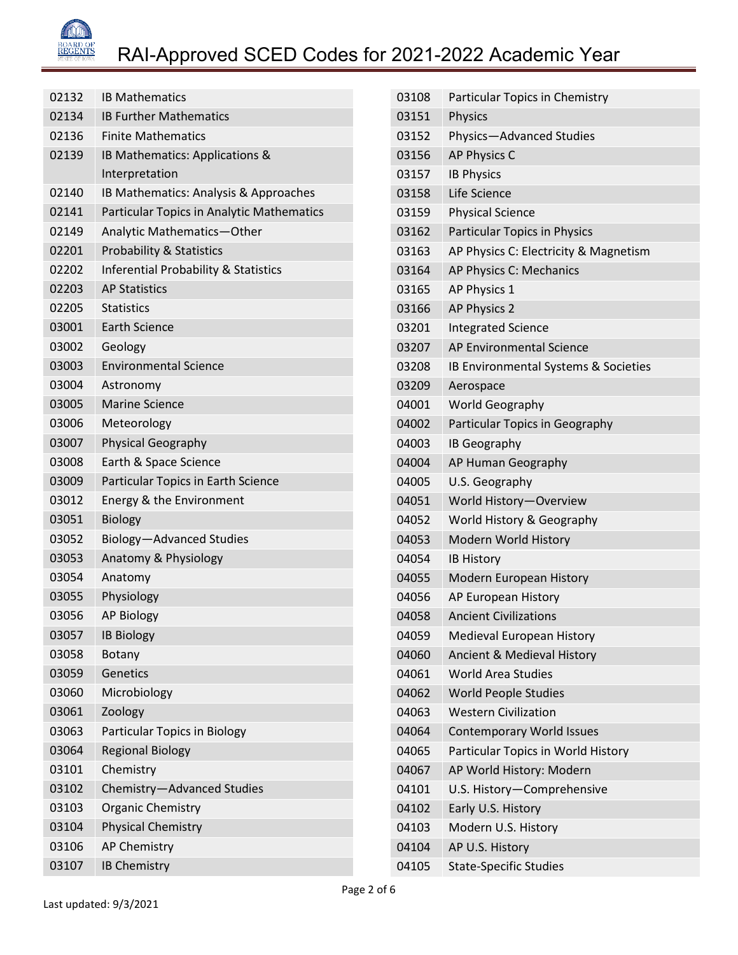

| 02132 | <b>IB Mathematics</b>                           |
|-------|-------------------------------------------------|
| 02134 | <b>IB Further Mathematics</b>                   |
| 02136 | <b>Finite Mathematics</b>                       |
| 02139 | IB Mathematics: Applications &                  |
|       | Interpretation                                  |
| 02140 | IB Mathematics: Analysis & Approaches           |
| 02141 | Particular Topics in Analytic Mathematics       |
| 02149 | Analytic Mathematics-Other                      |
| 02201 | <b>Probability &amp; Statistics</b>             |
| 02202 | <b>Inferential Probability &amp; Statistics</b> |
| 02203 | <b>AP Statistics</b>                            |
| 02205 | <b>Statistics</b>                               |
| 03001 | <b>Earth Science</b>                            |
| 03002 | Geology                                         |
| 03003 | <b>Environmental Science</b>                    |
| 03004 | Astronomy                                       |
| 03005 | <b>Marine Science</b>                           |
| 03006 | Meteorology                                     |
| 03007 | <b>Physical Geography</b>                       |
| 03008 | Earth & Space Science                           |
| 03009 | Particular Topics in Earth Science              |
| 03012 | Energy & the Environment                        |
| 03051 | <b>Biology</b>                                  |
| 03052 | Biology-Advanced Studies                        |
| 03053 | Anatomy & Physiology                            |
| 03054 | Anatomy                                         |
| 03055 | Physiology                                      |
| 03056 | <b>AP Biology</b>                               |
| 03057 | <b>IB Biology</b>                               |
| 03058 | Botany                                          |
| 03059 | Genetics                                        |
| 03060 | Microbiology                                    |
| 03061 | Zoology                                         |
| 03063 | Particular Topics in Biology                    |
| 03064 | <b>Regional Biology</b>                         |
| 03101 | Chemistry                                       |
| 03102 | Chemistry-Advanced Studies                      |
| 03103 | Organic Chemistry                               |
| 03104 | <b>Physical Chemistry</b>                       |
| 03106 | <b>AP Chemistry</b>                             |
| 03107 | <b>IB Chemistry</b>                             |
|       |                                                 |

| 03108 | Particular Topics in Chemistry        |
|-------|---------------------------------------|
| 03151 | Physics                               |
| 03152 | Physics-Advanced Studies              |
| 03156 | AP Physics C                          |
| 03157 | <b>IB Physics</b>                     |
| 03158 | Life Science                          |
| 03159 | <b>Physical Science</b>               |
| 03162 | <b>Particular Topics in Physics</b>   |
| 03163 | AP Physics C: Electricity & Magnetism |
| 03164 | AP Physics C: Mechanics               |
| 03165 | AP Physics 1                          |
| 03166 | AP Physics 2                          |
| 03201 | <b>Integrated Science</b>             |
| 03207 | AP Environmental Science              |
| 03208 | IB Environmental Systems & Societies  |
| 03209 | Aerospace                             |
| 04001 | <b>World Geography</b>                |
| 04002 | Particular Topics in Geography        |
| 04003 | <b>IB Geography</b>                   |
| 04004 | AP Human Geography                    |
| 04005 | U.S. Geography                        |
| 04051 | World History-Overview                |
| 04052 | World History & Geography             |
| 04053 | Modern World History                  |
| 04054 | <b>IB History</b>                     |
| 04055 | Modern European History               |
| 04056 | AP European History                   |
| 04058 | <b>Ancient Civilizations</b>          |
| 04059 | Medieval European History             |
| 04060 | Ancient & Medieval History            |
| 04061 | <b>World Area Studies</b>             |
| 04062 | <b>World People Studies</b>           |
| 04063 | <b>Western Civilization</b>           |
| 04064 | <b>Contemporary World Issues</b>      |
| 04065 | Particular Topics in World History    |
| 04067 | AP World History: Modern              |
| 04101 | U.S. History-Comprehensive            |
| 04102 | Early U.S. History                    |
| 04103 | Modern U.S. History                   |
| 04104 | AP U.S. History                       |
| 04105 | <b>State-Specific Studies</b>         |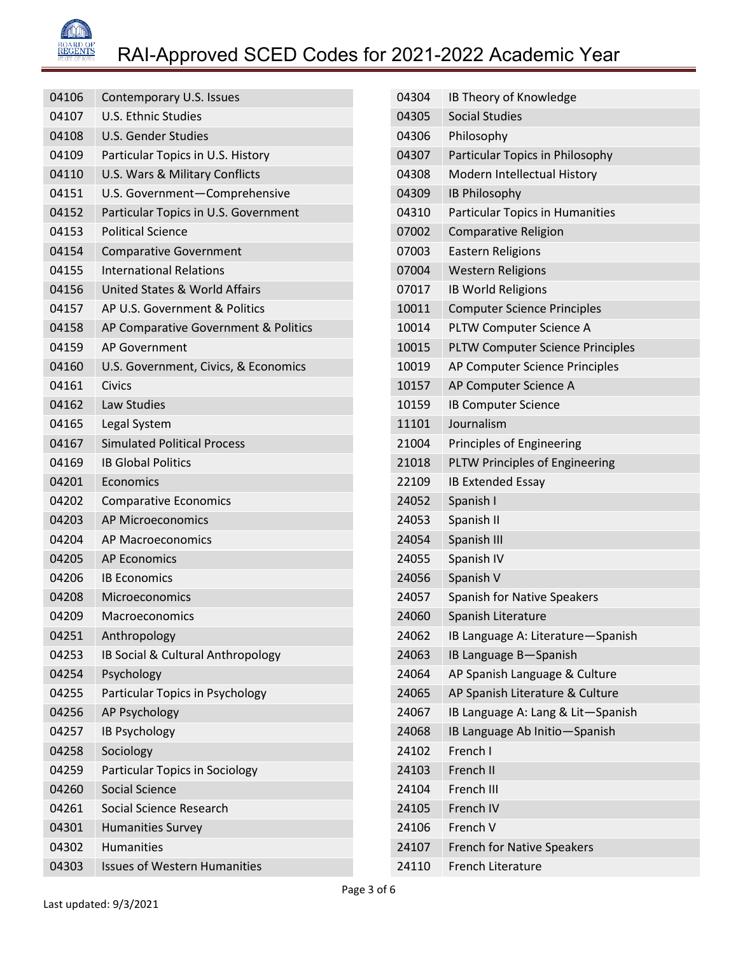

| 04106 | Contemporary U.S. Issues             |
|-------|--------------------------------------|
| 04107 | <b>U.S. Ethnic Studies</b>           |
| 04108 | U.S. Gender Studies                  |
| 04109 | Particular Topics in U.S. History    |
| 04110 | U.S. Wars & Military Conflicts       |
| 04151 | U.S. Government-Comprehensive        |
| 04152 | Particular Topics in U.S. Government |
| 04153 | <b>Political Science</b>             |
| 04154 | <b>Comparative Government</b>        |
| 04155 | <b>International Relations</b>       |
| 04156 | United States & World Affairs        |
| 04157 | AP U.S. Government & Politics        |
| 04158 | AP Comparative Government & Politics |
| 04159 | <b>AP Government</b>                 |
| 04160 | U.S. Government, Civics, & Economics |
| 04161 | Civics                               |
| 04162 | Law Studies                          |
| 04165 | Legal System                         |
| 04167 | <b>Simulated Political Process</b>   |
| 04169 | <b>IB Global Politics</b>            |
| 04201 | Economics                            |
| 04202 | <b>Comparative Economics</b>         |
| 04203 | <b>AP Microeconomics</b>             |
| 04204 | <b>AP Macroeconomics</b>             |
| 04205 | <b>AP Economics</b>                  |
| 04206 | <b>IB Economics</b>                  |
| 04208 | Microeconomics                       |
| 04209 | Macroeconomics                       |
| 04251 | Anthropology                         |
| 04253 | IB Social & Cultural Anthropology    |
| 04254 | Psychology                           |
| 04255 | Particular Topics in Psychology      |
| 04256 | AP Psychology                        |
| 04257 | <b>IB Psychology</b>                 |
| 04258 | Sociology                            |
| 04259 | Particular Topics in Sociology       |
| 04260 | <b>Social Science</b>                |
| 04261 | Social Science Research              |
| 04301 | <b>Humanities Survey</b>             |
| 04302 | <b>Humanities</b>                    |
| 04303 | <b>Issues of Western Humanities</b>  |

| 04304 | IB Theory of Knowledge                  |
|-------|-----------------------------------------|
| 04305 | <b>Social Studies</b>                   |
| 04306 | Philosophy                              |
| 04307 | Particular Topics in Philosophy         |
| 04308 | Modern Intellectual History             |
| 04309 | <b>IB Philosophy</b>                    |
| 04310 | <b>Particular Topics in Humanities</b>  |
| 07002 | Comparative Religion                    |
| 07003 | <b>Eastern Religions</b>                |
| 07004 | <b>Western Religions</b>                |
| 07017 | <b>IB World Religions</b>               |
| 10011 | <b>Computer Science Principles</b>      |
| 10014 | PLTW Computer Science A                 |
| 10015 | <b>PLTW Computer Science Principles</b> |
| 10019 | AP Computer Science Principles          |
| 10157 | AP Computer Science A                   |
| 10159 | <b>IB Computer Science</b>              |
| 11101 | Journalism                              |
| 21004 | Principles of Engineering               |
| 21018 | PLTW Principles of Engineering          |
| 22109 | <b>IB Extended Essay</b>                |
| 24052 | Spanish I                               |
| 24053 | Spanish II                              |
| 24054 | Spanish III                             |
| 24055 | Spanish IV                              |
| 24056 | Spanish V                               |
| 24057 | <b>Spanish for Native Speakers</b>      |
| 24060 | Spanish Literature                      |
| 24062 | IB Language A: Literature-Spanish       |
| 24063 | IB Language B-Spanish                   |
| 24064 | AP Spanish Language & Culture           |
| 24065 | AP Spanish Literature & Culture         |
| 24067 | IB Language A: Lang & Lit-Spanish       |
| 24068 | IB Language Ab Initio-Spanish           |
| 24102 | French I                                |
| 24103 | French II                               |
| 24104 | French III                              |
| 24105 | French IV                               |
| 24106 | French V                                |
| 24107 | <b>French for Native Speakers</b>       |
| 24110 | <b>French Literature</b>                |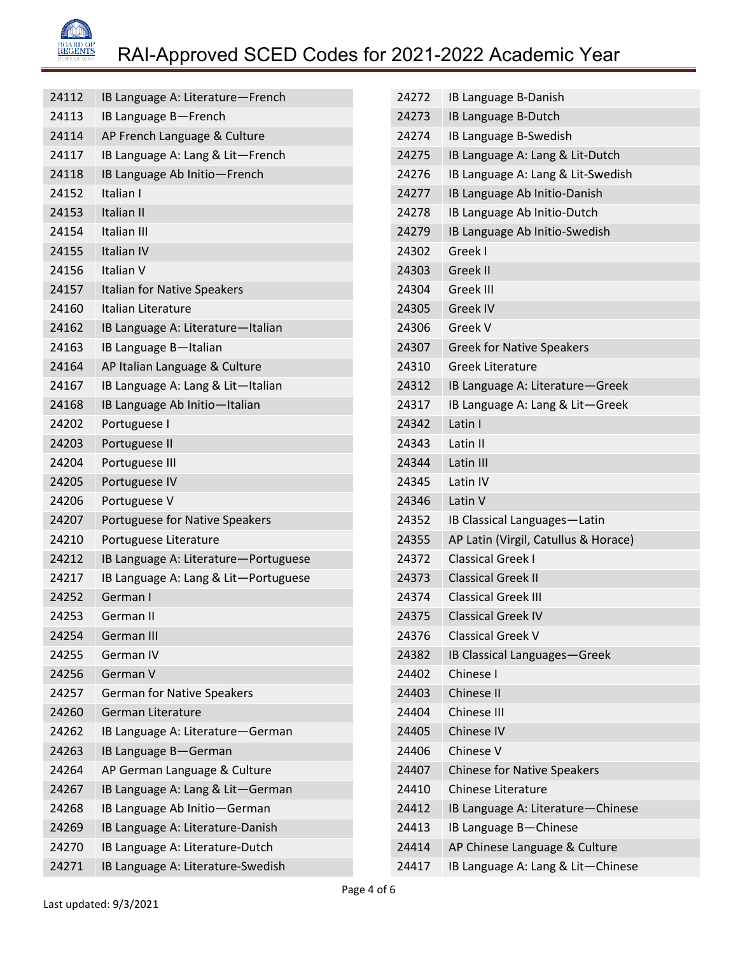

| 24112 | IB Language A: Literature-French     | 24272 | IB Language B-Danish                 |
|-------|--------------------------------------|-------|--------------------------------------|
| 24113 | IB Language B-French                 | 24273 | IB Language B-Dutch                  |
| 24114 | AP French Language & Culture         | 24274 | IB Language B-Swedish                |
| 24117 | IB Language A: Lang & Lit-French     | 24275 | IB Language A: Lang & Lit-Dutch      |
| 24118 | IB Language Ab Initio-French         | 24276 | IB Language A: Lang & Lit-Swedish    |
| 24152 | Italian I                            | 24277 | IB Language Ab Initio-Danish         |
| 24153 | Italian II                           | 24278 | IB Language Ab Initio-Dutch          |
| 24154 | Italian III                          | 24279 | IB Language Ab Initio-Swedish        |
| 24155 | Italian IV                           | 24302 | Greek I                              |
| 24156 | Italian V                            | 24303 | Greek II                             |
| 24157 | Italian for Native Speakers          | 24304 | Greek III                            |
| 24160 | Italian Literature                   | 24305 | Greek IV                             |
| 24162 | IB Language A: Literature-Italian    | 24306 | Greek V                              |
| 24163 | IB Language B-Italian                | 24307 | <b>Greek for Native Speakers</b>     |
| 24164 | AP Italian Language & Culture        | 24310 | <b>Greek Literature</b>              |
| 24167 | IB Language A: Lang & Lit-Italian    | 24312 | IB Language A: Literature-Greek      |
| 24168 | IB Language Ab Initio-Italian        | 24317 | IB Language A: Lang & Lit-Greek      |
| 24202 | Portuguese I                         | 24342 | Latin I                              |
| 24203 | Portuguese II                        | 24343 | Latin II                             |
| 24204 | Portuguese III                       | 24344 | Latin III                            |
| 24205 | Portuguese IV                        | 24345 | Latin IV                             |
| 24206 | Portuguese V                         | 24346 | Latin V                              |
| 24207 | Portuguese for Native Speakers       | 24352 | IB Classical Languages-Latin         |
| 24210 | Portuguese Literature                | 24355 | AP Latin (Virgil, Catullus & Horace) |
| 24212 | IB Language A: Literature-Portuguese | 24372 | <b>Classical Greek I</b>             |
| 24217 | IB Language A: Lang & Lit-Portuguese | 24373 | <b>Classical Greek II</b>            |
| 24252 | German I                             | 24374 | <b>Classical Greek III</b>           |
| 24253 | German II                            | 24375 | <b>Classical Greek IV</b>            |
| 24254 | German III                           | 24376 | <b>Classical Greek V</b>             |
| 24255 | German IV                            | 24382 | IB Classical Languages-Greek         |
| 24256 | German V                             | 24402 | Chinese I                            |
| 24257 | <b>German for Native Speakers</b>    | 24403 | Chinese II                           |
| 24260 | German Literature                    | 24404 | Chinese III                          |
| 24262 | IB Language A: Literature-German     | 24405 | Chinese IV                           |
| 24263 | IB Language B-German                 | 24406 | Chinese V                            |
| 24264 | AP German Language & Culture         | 24407 | <b>Chinese for Native Speakers</b>   |
| 24267 | IB Language A: Lang & Lit-German     | 24410 | Chinese Literature                   |
| 24268 | IB Language Ab Initio-German         | 24412 | IB Language A: Literature-Chinese    |
| 24269 | IB Language A: Literature-Danish     | 24413 | IB Language B-Chinese                |
| 24270 | IB Language A: Literature-Dutch      | 24414 | AP Chinese Language & Culture        |
| 24271 | IB Language A: Literature-Swedish    | 24417 | IB Language A: Lang & Lit-Chinese    |
|       |                                      |       |                                      |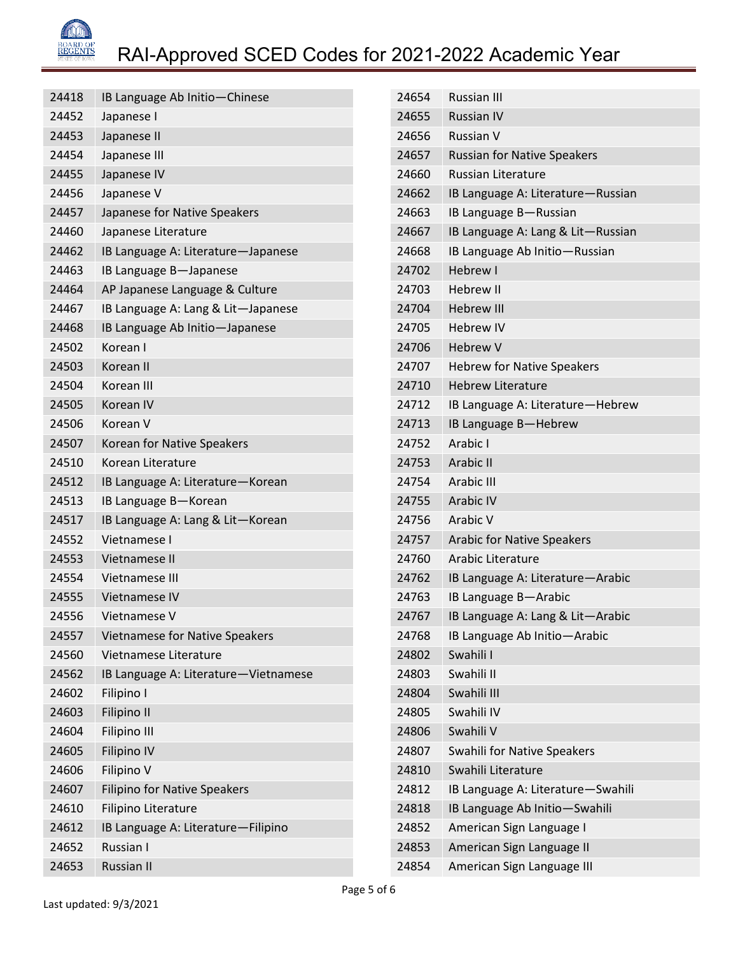

| 24418 | IB Language Ab Initio-Chinese         |
|-------|---------------------------------------|
| 24452 | Japanese I                            |
| 24453 | Japanese II                           |
| 24454 | Japanese III                          |
| 24455 | Japanese IV                           |
| 24456 | Japanese V                            |
| 24457 | Japanese for Native Speakers          |
| 24460 | Japanese Literature                   |
| 24462 | IB Language A: Literature-Japanese    |
| 24463 | IB Language B-Japanese                |
| 24464 | AP Japanese Language & Culture        |
| 24467 | IB Language A: Lang & Lit-Japanese    |
| 24468 | IB Language Ab Initio-Japanese        |
| 24502 | Korean I                              |
| 24503 | Korean II                             |
| 24504 | Korean III                            |
| 24505 | Korean IV                             |
| 24506 | Korean V                              |
| 24507 | Korean for Native Speakers            |
| 24510 | Korean Literature                     |
| 24512 | IB Language A: Literature-Korean      |
| 24513 | IB Language B-Korean                  |
| 24517 | IB Language A: Lang & Lit-Korean      |
| 24552 | Vietnamese I                          |
| 24553 | Vietnamese II                         |
| 24554 | Vietnamese III                        |
| 24555 | Vietnamese IV                         |
| 24556 | Vietnamese V                          |
| 24557 | <b>Vietnamese for Native Speakers</b> |
| 24560 | Vietnamese Literature                 |
| 24562 | IB Language A: Literature-Vietnamese  |
| 24602 | Filipino I                            |
| 24603 | Filipino II                           |
| 24604 | <b>Filipino III</b>                   |
| 24605 | <b>Filipino IV</b>                    |
| 24606 | Filipino V                            |
| 24607 | <b>Filipino for Native Speakers</b>   |
| 24610 | Filipino Literature                   |
| 24612 | IB Language A: Literature-Filipino    |
| 24652 | Russian I                             |
| 24653 | <b>Russian II</b>                     |

| 24654 | <b>Russian III</b>                 |
|-------|------------------------------------|
| 24655 | <b>Russian IV</b>                  |
| 24656 | Russian V                          |
| 24657 | <b>Russian for Native Speakers</b> |
| 24660 | <b>Russian Literature</b>          |
| 24662 | IB Language A: Literature-Russian  |
| 24663 | IB Language B-Russian              |
| 24667 | IB Language A: Lang & Lit-Russian  |
| 24668 | IB Language Ab Initio-Russian      |
| 24702 | Hebrew I                           |
| 24703 | <b>Hebrew II</b>                   |
| 24704 | <b>Hebrew III</b>                  |
| 24705 | <b>Hebrew IV</b>                   |
| 24706 | <b>Hebrew V</b>                    |
| 24707 | <b>Hebrew for Native Speakers</b>  |
| 24710 | <b>Hebrew Literature</b>           |
| 24712 | IB Language A: Literature-Hebrew   |
| 24713 | IB Language B-Hebrew               |
| 24752 | Arabic I                           |
| 24753 | Arabic II                          |
| 24754 | Arabic III                         |
| 24755 | <b>Arabic IV</b>                   |
| 24756 | Arabic V                           |
| 24757 | <b>Arabic for Native Speakers</b>  |
| 24760 | Arabic Literature                  |
| 24762 | IB Language A: Literature-Arabic   |
| 24763 | IB Language B-Arabic               |
| 24767 | IB Language A: Lang & Lit-Arabic   |
| 24768 | IB Language Ab Initio-Arabic       |
| 24802 | Swahili I                          |
| 24803 | Swahili II                         |
| 24804 | Swahili III                        |
| 24805 | Swahili IV                         |
| 24806 | Swahili V                          |
| 24807 | Swahili for Native Speakers        |
| 24810 | Swahili Literature                 |
| 24812 | IB Language A: Literature-Swahili  |
| 24818 | IB Language Ab Initio-Swahili      |
| 24852 | American Sign Language I           |
| 24853 | American Sign Language II          |
| 24854 | American Sign Language III         |